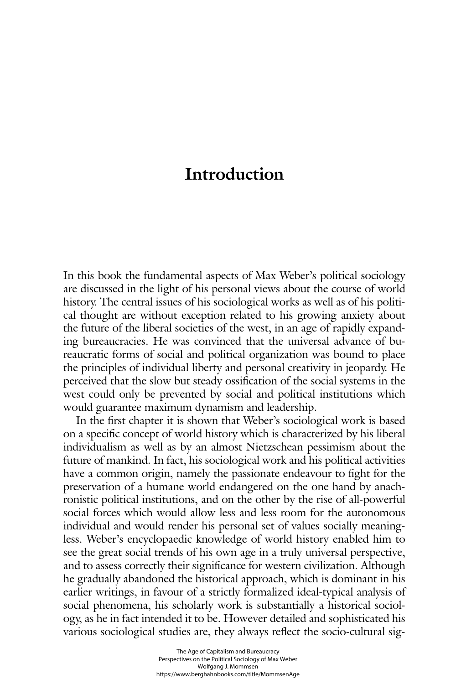## **Introduction**

In this book the fundamental aspects of Max Weber's political sociology are discussed in the light of his personal views about the course of world history. The central issues of his sociological works as well as of his political thought are without exception related to his growing anxiety about the future of the liberal societies of the west, in an age of rapidly expanding bureaucracies. He was convinced that the universal advance of bureaucratic forms of social and political organization was bound to place the principles of individual liberty and personal creativity in jeopardy. He perceived that the slow but steady ossification of the social systems in the west could only be prevented by social and political institutions which would guarantee maximum dynamism and leadership.

In the first chapter it is shown that Weber's sociological work is based on a specific concept of world history which is characterized by his liberal individualism as well as by an almost Nietzschean pessimism about the future of mankind. In fact, his sociological work and his political activities have a common origin, namely the passionate endeavour to fight for the preservation of a humane world endangered on the one hand by anachronistic political institutions, and on the other by the rise of all-powerful social forces which would allow less and less room for the autonomous individual and would render his personal set of values socially meaningless. Weber's encyclopaedic knowledge of world history enabled him to see the great social trends of his own age in a truly universal perspective, and to assess correctly their significance for western civilization. Although he gradually abandoned the historical approach, which is dominant in his earlier writings, in favour of a strictly formalized ideal-typical analysis of social phenomena, his scholarly work is substantially a historical sociology, as he in fact intended it to be. However detailed and sophisticated his various sociological studies are, they always reflect the socio-cultural sig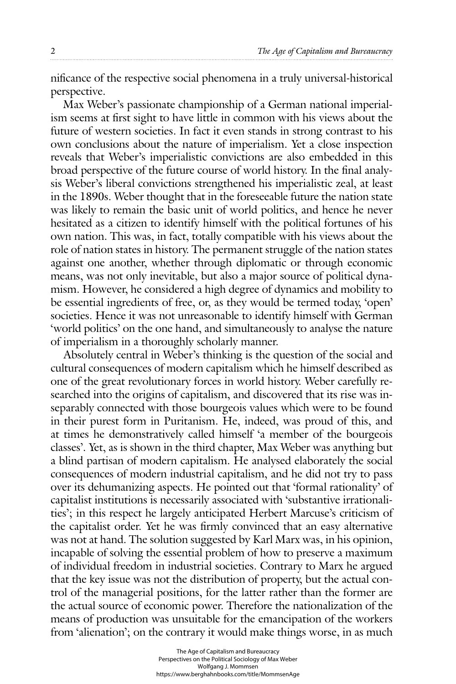nificance of the respective social phenomena in a truly universal-historical perspective.

Max Weber's passionate championship of a German national imperialism seems at first sight to have little in common with his views about the future of western societies. In fact it even stands in strong contrast to his own conclusions about the nature of imperialism. Yet a close inspection reveals that Weber's imperialistic convictions are also embedded in this broad perspective of the future course of world history. In the final analysis Weber's liberal convictions strengthened his imperialistic zeal, at least in the 1890s. Weber thought that in the foreseeable future the nation state was likely to remain the basic unit of world politics, and hence he never hesitated as a citizen to identify himself with the political fortunes of his own nation. This was, in fact, totally compatible with his views about the role of nation states in history. The permanent struggle of the nation states against one another, whether through diplomatic or through economic means, was not only inevitable, but also a major source of political dynamism. However, he considered a high degree of dynamics and mobility to be essential ingredients of free, or, as they would be termed today, 'open' societies. Hence it was not unreasonable to identify himself with German 'world politics' on the one hand, and simultaneously to analyse the nature of imperialism in a thoroughly scholarly manner.

Absolutely central in Weber's thinking is the question of the social and cultural consequences of modern capitalism which he himself described as one of the great revolutionary forces in world history. Weber carefully researched into the origins of capitalism, and discovered that its rise was inseparably connected with those bourgeois values which were to be found in their purest form in Puritanism. He, indeed, was proud of this, and at times he demonstratively called himself 'a member of the bourgeois classes'. Yet, as is shown in the third chapter, Max Weber was anything but a blind partisan of modern capitalism. He analysed elaborately the social consequences of modern industrial capitalism, and he did not try to pass over its dehumanizing aspects. He pointed out that 'formal rationality' of capitalist institutions is necessarily associated with 'substantive irrationalities'; in this respect he largely anticipated Herbert Marcuse's criticism of the capitalist order. Yet he was firmly convinced that an easy alternative was not at hand. The solution suggested by Karl Marx was, in his opinion, incapable of solving the essential problem of how to preserve a maximum of individual freedom in industrial societies. Contrary to Marx he argued that the key issue was not the distribution of property, but the actual control of the managerial positions, for the latter rather than the former are the actual source of economic power. Therefore the nationalization of the means of production was unsuitable for the emancipation of the workers from 'alienation'; on the contrary it would make things worse, in as much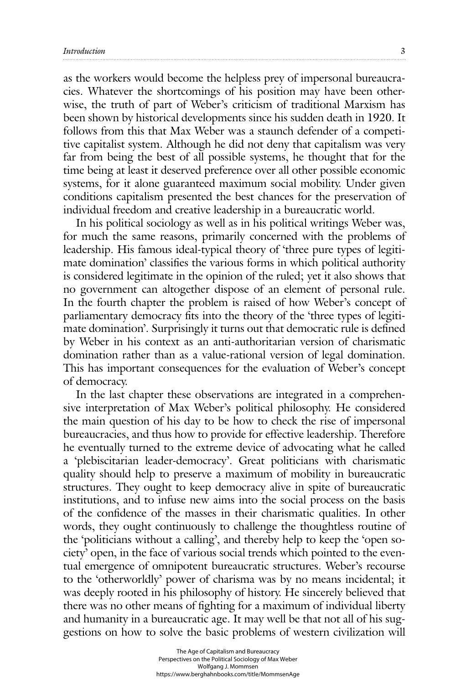as the workers would become the helpless prey of impersonal bureaucracies. Whatever the shortcomings of his position may have been otherwise, the truth of part of Weber's criticism of traditional Marxism has been shown by historical developments since his sudden death in 1920. It follows from this that Max Weber was a staunch defender of a competitive capitalist system. Although he did not deny that capitalism was very far from being the best of all possible systems, he thought that for the time being at least it deserved preference over all other possible economic systems, for it alone guaranteed maximum social mobility. Under given conditions capitalism presented the best chances for the preservation of individual freedom and creative leadership in a bureaucratic world.

In his political sociology as well as in his political writings Weber was, for much the same reasons, primarily concerned with the problems of leadership. His famous ideal-typical theory of 'three pure types of legitimate domination' classifies the various forms in which political authority is considered legitimate in the opinion of the ruled; yet it also shows that no government can altogether dispose of an element of personal rule. In the fourth chapter the problem is raised of how Weber's concept of parliamentary democracy fits into the theory of the 'three types of legitimate domination'. Surprisingly it turns out that democratic rule is defined by Weber in his context as an anti-authoritarian version of charismatic domination rather than as a value-rational version of legal domination. This has important consequences for the evaluation of Weber's concept of democracy.

In the last chapter these observations are integrated in a comprehensive interpretation of Max Weber's political philosophy. He considered the main question of his day to be how to check the rise of impersonal bureaucracies, and thus how to provide for effective leadership. Therefore he eventually turned to the extreme device of advocating what he called a 'plebiscitarian leader-democracy'. Great politicians with charismatic quality should help to preserve a maximum of mobility in bureaucratic structures. They ought to keep democracy alive in spite of bureaucratic institutions, and to infuse new aims into the social process on the basis of the confidence of the masses in their charismatic qualities. In other words, they ought continuously to challenge the thoughtless routine of the 'politicians without a calling', and thereby help to keep the 'open society' open, in the face of various social trends which pointed to the eventual emergence of omnipotent bureaucratic structures. Weber's recourse to the 'otherworldly' power of charisma was by no means incidental; it was deeply rooted in his philosophy of history. He sincerely believed that there was no other means of fighting for a maximum of individual liberty and humanity in a bureaucratic age. It may well be that not all of his suggestions on how to solve the basic problems of western civilization will